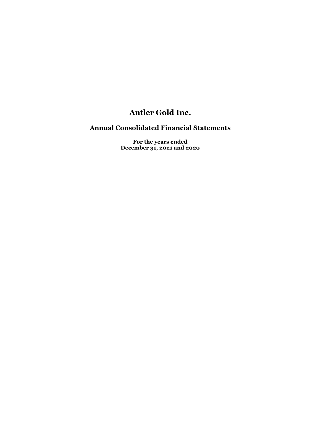# **Antler Gold Inc.**

# **Annual Consolidated Financial Statements**

**For the years ended December 31, 2021 and 2020**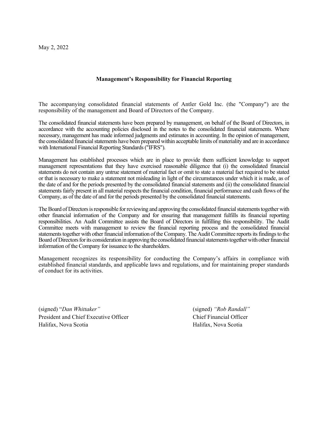#### **Management's Responsibility for Financial Reporting**

The accompanying consolidated financial statements of Antler Gold Inc. (the "Company") are the responsibility of the management and Board of Directors of the Company.

The consolidated financial statements have been prepared by management, on behalf of the Board of Directors, in accordance with the accounting policies disclosed in the notes to the consolidated financial statements. Where necessary, management has made informed judgments and estimates in accounting. In the opinion of management, the consolidated financial statements have been prepared within acceptable limits of materiality and are in accordance with International Financial Reporting Standards ("IFRS").

Management has established processes which are in place to provide them sufficient knowledge to support management representations that they have exercised reasonable diligence that (i) the consolidated financial statements do not contain any untrue statement of material fact or omit to state a material fact required to be stated or that is necessary to make a statement not misleading in light of the circumstances under which it is made, as of the date of and for the periods presented by the consolidated financial statements and (ii) the consolidated financial statements fairly present in all material respects the financial condition, financial performance and cash flows of the Company, as of the date of and for the periods presented by the consolidated financial statements.

The Board of Directors is responsible for reviewing and approving the consolidated financial statementstogether with other financial information of the Company and for ensuring that management fulfills its financial reporting responsibilities. An Audit Committee assists the Board of Directors in fulfilling this responsibility. The Audit Committee meets with management to review the financial reporting process and the consolidated financial statements together with other financial information of the Company. The Audit Committee reports its findings to the Board of Directors for its consideration in approving the consolidated financial statements together with other financial information of the Company for issuance to the shareholders.

Management recognizes its responsibility for conducting the Company's affairs in compliance with established financial standards, and applicable laws and regulations, and for maintaining proper standards of conduct for its activities.

(signed) "*Dan Whittaker"* (signed) *"Rob Randall"* President and Chief Executive Officer Chief Financial Officer Halifax, Nova Scotia Halifax, Nova Scotia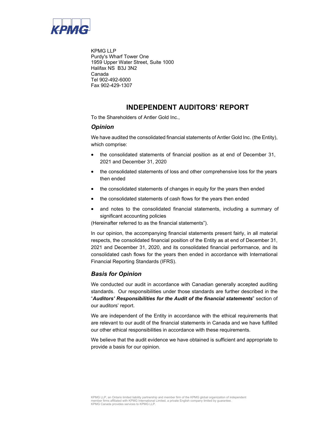

KPMG LLP Purdy's Wharf Tower One 1959 Upper Water Street, Suite 1000 Halifax NS B3J 3N2 Canada Tel 902-492-6000 Fax 902-429-1307

# **INDEPENDENT AUDITORS' REPORT**

To the Shareholders of Antler Gold Inc.,

#### *Opinion*

We have audited the consolidated financial statements of Antler Gold Inc. (the Entity), which comprise:

- the consolidated statements of financial position as at end of December 31, 2021 and December 31, 2020
- the consolidated statements of loss and other comprehensive loss for the years then ended
- the consolidated statements of changes in equity for the years then ended
- the consolidated statements of cash flows for the years then ended
- and notes to the consolidated financial statements, including a summary of significant accounting policies

(Hereinafter referred to as the financial statements").

In our opinion, the accompanying financial statements present fairly, in all material respects, the consolidated financial position of the Entity as at end of December 31, 2021 and December 31, 2020, and its consolidated financial performance, and its consolidated cash flows for the years then ended in accordance with International Financial Reporting Standards (IFRS).

#### *Basis for Opinion*

We conducted our audit in accordance with Canadian generally accepted auditing standards. Our responsibilities under those standards are further described in the "*Auditors' Responsibilities for the Audit of the financial statements*" section of our auditors' report.

We are independent of the Entity in accordance with the ethical requirements that are relevant to our audit of the financial statements in Canada and we have fulfilled our other ethical responsibilities in accordance with these requirements.

We believe that the audit evidence we have obtained is sufficient and appropriate to provide a basis for our opinion.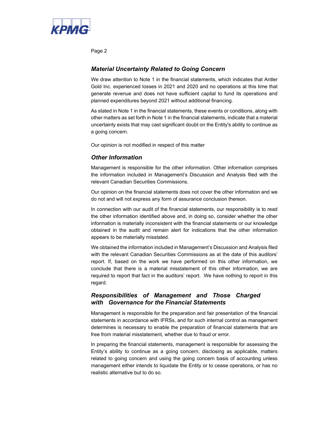

Page 2

# *Material Uncertainty Related to Going Concern*

We draw attention to Note 1 in the financial statements, which indicates that Antler Gold Inc. experienced losses in 2021 and 2020 and no operations at this time that generate revenue and does not have sufficient capital to fund its operations and planned expenditures beyond 2021 without additional financing.

As stated in Note 1 in the financial statements, these events or conditions, along with other matters as set forth in Note 1 in the financial statements, indicate that a material uncertainty exists that may cast significant doubt on the Entity's ability to continue as a going concern.

Our opinion is not modified in respect of this matter

#### *Other Information*

Management is responsible for the other information. Other information comprises the information included in Management's Discussion and Analysis filed with the relevant Canadian Securities Commissions.

Our opinion on the financial statements does not cover the other information and we do not and will not express any form of assurance conclusion thereon.

In connection with our audit of the financial statements, our responsibility is to read the other information identified above and, in doing so, consider whether the other information is materially inconsistent with the financial statements or our knowledge obtained in the audit and remain alert for indications that the other information appears to be materially misstated.

We obtained the information included in Management's Discussion and Analysis filed with the relevant Canadian Securities Commissions as at the date of this auditors' report. If, based on the work we have performed on this other information, we conclude that there is a material misstatement of this other information, we are required to report that fact in the auditors' report. We have nothing to report in this regard.

# *Responsibilities of Management and Those Charged with Governance for the Financial Statements*

Management is responsible for the preparation and fair presentation of the financial statements in accordance with IFRSs, and for such internal control as management determines is necessary to enable the preparation of financial statements that are free from material misstatement, whether due to fraud or error.

In preparing the financial statements, management is responsible for assessing the Entity's ability to continue as a going concern, disclosing as applicable, matters related to going concern and using the going concern basis of accounting unless management either intends to liquidate the Entity or to cease operations, or has no realistic alternative but to do so.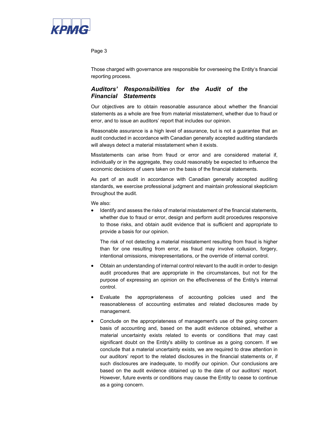

Page 3

Those charged with governance are responsible for overseeing the Entity's financial reporting process.

# *Auditors' Responsibilities for the Audit of the Financial Statements*

Our objectives are to obtain reasonable assurance about whether the financial statements as a whole are free from material misstatement, whether due to fraud or error, and to issue an auditors' report that includes our opinion.

Reasonable assurance is a high level of assurance, but is not a guarantee that an audit conducted in accordance with Canadian generally accepted auditing standards will always detect a material misstatement when it exists.

Misstatements can arise from fraud or error and are considered material if, individually or in the aggregate, they could reasonably be expected to influence the economic decisions of users taken on the basis of the financial statements.

As part of an audit in accordance with Canadian generally accepted auditing standards, we exercise professional judgment and maintain professional skepticism throughout the audit.

We also:

 Identify and assess the risks of material misstatement of the financial statements, whether due to fraud or error, design and perform audit procedures responsive to those risks, and obtain audit evidence that is sufficient and appropriate to provide a basis for our opinion.

The risk of not detecting a material misstatement resulting from fraud is higher than for one resulting from error, as fraud may involve collusion, forgery, intentional omissions, misrepresentations, or the override of internal control.

- Obtain an understanding of internal control relevant to the audit in order to design audit procedures that are appropriate in the circumstances, but not for the purpose of expressing an opinion on the effectiveness of the Entity's internal control.
- Evaluate the appropriateness of accounting policies used and the reasonableness of accounting estimates and related disclosures made by management.
- Conclude on the appropriateness of management's use of the going concern basis of accounting and, based on the audit evidence obtained, whether a material uncertainty exists related to events or conditions that may cast significant doubt on the Entity's ability to continue as a going concern. If we conclude that a material uncertainty exists, we are required to draw attention in our auditors' report to the related disclosures in the financial statements or, if such disclosures are inadequate, to modify our opinion. Our conclusions are based on the audit evidence obtained up to the date of our auditors' report. However, future events or conditions may cause the Entity to cease to continue as a going concern.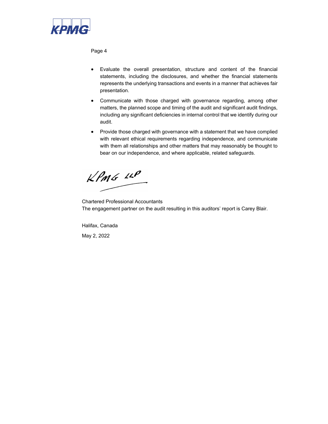

Page 4

- Evaluate the overall presentation, structure and content of the financial statements, including the disclosures, and whether the financial statements represents the underlying transactions and events in a manner that achieves fair presentation.
- Communicate with those charged with governance regarding, among other matters, the planned scope and timing of the audit and significant audit findings, including any significant deficiencies in internal control that we identify during our audit.
- Provide those charged with governance with a statement that we have complied with relevant ethical requirements regarding independence, and communicate with them all relationships and other matters that may reasonably be thought to bear on our independence, and where applicable, related safeguards.

 $kPMC$  14P

Chartered Professional Accountants The engagement partner on the audit resulting in this auditors' report is Carey Blair.

Halifax, Canada May 2, 2022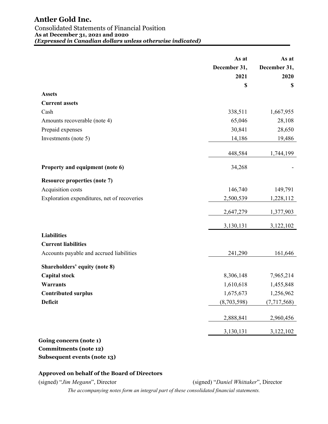# **Antler Gold Inc.** Consolidated Statements of Financial Position **As at December 31, 2021 and 2020**

*(Expressed in Canadian dollars unless otherwise indicated)*

|                                                  | As at<br>December 31,<br>2021 | As at<br>December 31,<br>2020 |
|--------------------------------------------------|-------------------------------|-------------------------------|
| <b>Assets</b>                                    | \$                            | \$                            |
| <b>Current assets</b>                            |                               |                               |
| Cash                                             | 338,511                       | 1,667,955                     |
| Amounts recoverable (note 4)                     | 65,046                        | 28,108                        |
| Prepaid expenses                                 | 30,841                        | 28,650                        |
| Investments (note 5)                             | 14,186                        | 19,486                        |
|                                                  | 448,584                       | 1,744,199                     |
| Property and equipment (note 6)                  | 34,268                        |                               |
| <b>Resource properties (note 7)</b>              |                               |                               |
| Acquisition costs                                | 146,740                       | 149,791                       |
| Exploration expenditures, net of recoveries      | 2,500,539                     | 1,228,112                     |
|                                                  | 2,647,279                     | 1,377,903                     |
|                                                  | 3,130,131                     | 3,122,102                     |
| <b>Liabilities</b><br><b>Current liabilities</b> |                               |                               |
| Accounts payable and accrued liabilities         | 241,290                       | 161,646                       |
| Shareholders' equity (note 8)                    |                               |                               |
| <b>Capital stock</b>                             | 8,306,148                     | 7,965,214                     |
| <b>Warrants</b>                                  | 1,610,618                     | 1,455,848                     |
| <b>Contributed surplus</b>                       | 1,675,673                     | 1,256,962                     |
| Deficit                                          | (8,703,598)                   | (7,717,568)                   |
|                                                  | 2,888,841                     | 2,960,456                     |
|                                                  | 3,130,131                     | 3,122,102                     |

# **Going concern (note 1) Commitments (note 12) Subsequent events (note 13)**

# **Approved on behalf of the Board of Directors**

(signed) "*Jim Megann*", Director (signed) "*Daniel Whittaker*", Director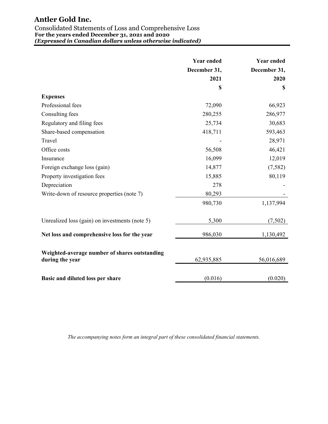# **Antler Gold Inc.**

#### Consolidated Statements of Loss and Comprehensive Loss **For the years ended December 31, 2021 and 2020** *(Expressed in Canadian dollars unless otherwise indicated)*

|                                                                  | <b>Year ended</b> | <b>Year ended</b> |
|------------------------------------------------------------------|-------------------|-------------------|
|                                                                  | December 31,      | December 31,      |
|                                                                  | 2021              | 2020              |
|                                                                  | \$                | \$                |
| <b>Expenses</b>                                                  |                   |                   |
| Professional fees                                                | 72,090            | 66,923            |
| Consulting fees                                                  | 280,255           | 286,977           |
| Regulatory and filing fees                                       | 25,734            | 30,683            |
| Share-based compensation                                         | 418,711           | 593,463           |
| Travel                                                           |                   | 28,971            |
| Office costs                                                     | 56,508            | 46,421            |
| Insurance                                                        | 16,099            | 12,019            |
| Foreign exchange loss (gain)                                     | 14,877            | (7, 582)          |
| Property investigation fees                                      | 15,885            | 80,119            |
| Depreciation                                                     | 278               |                   |
| Write-down of resource properties (note 7)                       | 80,293            |                   |
|                                                                  | 980,730           | 1,137,994         |
| Unrealized loss (gain) on investments (note 5)                   | 5,300             | (7,502)           |
| Net loss and comprehensive loss for the year                     | 986,030           | 1,130,492         |
| Weighted-average number of shares outstanding<br>during the year | 62,935,885        | 56,016,689        |
| Basic and diluted loss per share                                 | (0.016)           | (0.020)           |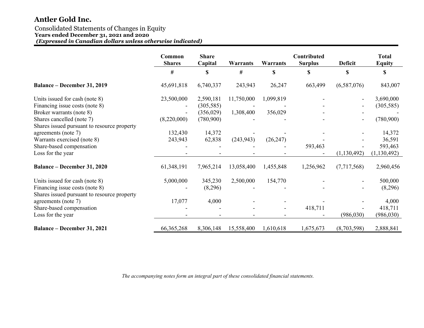# **Antler Gold Inc.**

#### Consolidated Statements of Changes in Equity **Years ended December 31, 2021 and 2020** *(Expressed in Canadian dollars unless otherwise indicated)*

|                                             | Common<br><b>Shares</b> | <b>Share</b><br>Capital | <b>Warrants</b> | <b>Warrants</b> | Contributed<br><b>Surplus</b> | <b>Deficit</b> | <b>Total</b><br><b>Equity</b> |
|---------------------------------------------|-------------------------|-------------------------|-----------------|-----------------|-------------------------------|----------------|-------------------------------|
|                                             | #                       | \$                      | #               | \$              | S                             | \$             | \$                            |
| <b>Balance – December 31, 2019</b>          | 45,691,818              | 6,740,337               | 243,943         | 26,247          | 663,499                       | (6,587,076)    | 843,007                       |
| Units issued for cash (note 8)              | 23,500,000              | 2,590,181               | 11,750,000      | 1,099,819       |                               |                | 3,690,000                     |
| Financing issue costs (note 8)              |                         | (305, 585)              |                 |                 |                               |                | (305, 585)                    |
| Broker warrants (note 8)                    |                         | (356, 029)              | 1,308,400       | 356,029         |                               |                |                               |
| Shares cancelled (note 7)                   | (8,220,000)             | (780,900)               |                 |                 |                               |                | (780,900)                     |
| Shares issued pursuant to resource property |                         |                         |                 |                 |                               |                |                               |
| agreements (note 7)                         | 132,430                 | 14,372                  |                 |                 |                               |                | 14,372                        |
| Warrants exercised (note 8)                 | 243,943                 | 62,838                  | (243, 943)      | (26, 247)       |                               |                | 36,591                        |
| Share-based compensation                    |                         |                         |                 |                 | 593,463                       |                | 593,463                       |
| Loss for the year                           |                         |                         |                 |                 |                               | (1,130,492)    | (1, 130, 492)                 |
| <b>Balance - December 31, 2020</b>          | 61,348,191              | 7,965,214               | 13,058,400      | 1,455,848       | 1,256,962                     | (7,717,568)    | 2,960,456                     |
| Units issued for cash (note 8)              | 5,000,000               | 345,230                 | 2,500,000       | 154,770         |                               |                | 500,000                       |
| Financing issue costs (note 8)              |                         | (8,296)                 |                 |                 |                               |                | (8,296)                       |
| Shares issued pursuant to resource property |                         |                         |                 |                 |                               |                |                               |
| agreements (note 7)                         | 17,077                  | 4,000                   |                 |                 |                               |                | 4,000                         |
| Share-based compensation                    |                         |                         |                 |                 | 418,711                       |                | 418,711                       |
| Loss for the year                           |                         |                         |                 |                 |                               | (986, 030)     | (986,030)                     |
| <b>Balance – December 31, 2021</b>          | 66, 365, 268            | 8,306,148               | 15,558,400      | 1,610,618       | 1,675,673                     | (8,703,598)    | 2,888,841                     |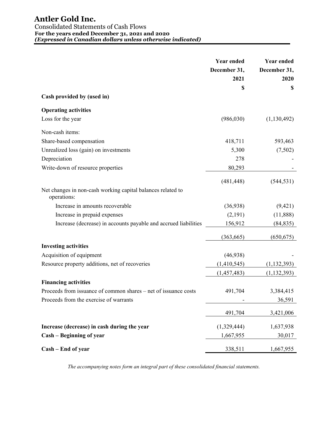|                                                                            | <b>Year ended</b> | <b>Year ended</b> |
|----------------------------------------------------------------------------|-------------------|-------------------|
|                                                                            | December 31,      | December 31,      |
|                                                                            | 2021              | 2020              |
|                                                                            | \$                | \$                |
| Cash provided by (used in)                                                 |                   |                   |
| <b>Operating activities</b>                                                |                   |                   |
| Loss for the year                                                          | (986, 030)        | (1,130,492)       |
| Non-cash items:                                                            |                   |                   |
| Share-based compensation                                                   | 418,711           | 593,463           |
| Unrealized loss (gain) on investments                                      | 5,300             | (7,502)           |
| Depreciation                                                               | 278               |                   |
| Write-down of resource properties                                          | 80,293            |                   |
|                                                                            | (481, 448)        | (544, 531)        |
| Net changes in non-cash working capital balances related to<br>operations: |                   |                   |
| Increase in amounts recoverable                                            | (36,938)          | (9,421)           |
| Increase in prepaid expenses                                               | (2,191)           | (11,888)          |
| Increase (decrease) in accounts payable and accrued liabilities            | 156,912           | (84, 835)         |
|                                                                            | (363, 665)        | (650, 675)        |
| <b>Investing activities</b>                                                |                   |                   |
| Acquisition of equipment                                                   | (46,938)          |                   |
| Resource property additions, net of recoveries                             | (1,410,545)       | (1, 132, 393)     |
|                                                                            | (1,457,483)       | (1, 132, 393)     |
| <b>Financing activities</b>                                                |                   |                   |
| Proceeds from issuance of common shares – net of issuance costs            | 491,704           | 3,384,415         |
| Proceeds from the exercise of warrants                                     |                   | 36,591            |
|                                                                            | 491,704           | 3,421,006         |
| Increase (decrease) in cash during the year                                | (1,329,444)       | 1,637,938         |
| Cash – Beginning of year                                                   | 1,667,955         | 30,017            |
| Cash - End of year                                                         | 338,511           | 1,667,955         |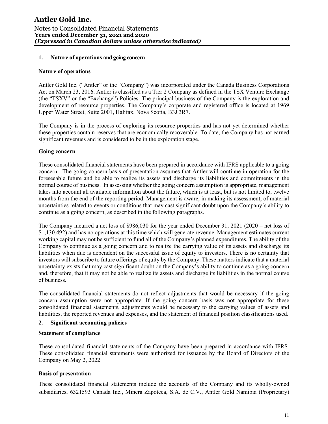#### **1. Nature of operations and going concern**

#### **Nature of operations**

Antler Gold Inc. ("Antler" or the "Company") was incorporated under the Canada Business Corporations Act on March 23, 2016. Antler is classified as a Tier 2 Company as defined in the TSX Venture Exchange (the "TSXV" or the "Exchange") Policies. The principal business of the Company is the exploration and development of resource properties. The Company's corporate and registered office is located at 1969 Upper Water Street, Suite 2001, Halifax, Nova Scotia, B3J 3R7.

The Company is in the process of exploring its resource properties and has not yet determined whether these properties contain reserves that are economically recoverable. To date, the Company has not earned significant revenues and is considered to be in the exploration stage.

#### **Going concern**

These consolidated financial statements have been prepared in accordance with IFRS applicable to a going concern. The going concern basis of presentation assumes that Antler will continue in operation for the foreseeable future and be able to realize its assets and discharge its liabilities and commitments in the normal course of business. In assessing whether the going concern assumption is appropriate, management takes into account all available information about the future, which is at least, but is not limited to, twelve months from the end of the reporting period. Management is aware, in making its assessment, of material uncertainties related to events or conditions that may cast significant doubt upon the Company's ability to continue as a going concern, as described in the following paragraphs.

The Company incurred a net loss of \$986,030 for the year ended December 31, 2021 (2020 – net loss of \$1,130,492) and has no operations at this time which will generate revenue. Management estimates current working capital may not be sufficient to fund all of the Company's planned expenditures. The ability of the Company to continue as a going concern and to realize the carrying value of its assets and discharge its liabilities when due is dependent on the successful issue of equity to investors. There is no certainty that investors will subscribe to future offerings of equity by the Company. These matters indicate that a material uncertainty exists that may cast significant doubt on the Company's ability to continue as a going concern and, therefore, that it may not be able to realize its assets and discharge its liabilities in the normal course of business.

The consolidated financial statements do not reflect adjustments that would be necessary if the going concern assumption were not appropriate. If the going concern basis was not appropriate for these consolidated financial statements, adjustments would be necessary to the carrying values of assets and liabilities, the reported revenues and expenses, and the statement of financial position classifications used.

#### **2. Significant accounting policies**

#### **Statement of compliance**

These consolidated financial statements of the Company have been prepared in accordance with IFRS. These consolidated financial statements were authorized for issuance by the Board of Directors of the Company on May 2, 2022.

#### **Basis of presentation**

These consolidated financial statements include the accounts of the Company and its wholly-owned subsidiaries, 6321593 Canada Inc., Minera Zapoteca, S.A. de C.V., Antler Gold Namibia (Proprietary)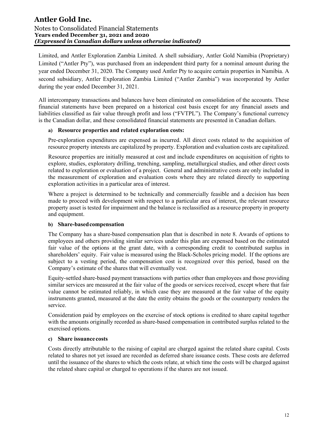Limited, and Antler Exploration Zambia Limited. A shell subsidiary, Antler Gold Namibia (Proprietary) Limited ("Antler Pty"), was purchased from an independent third party for a nominal amount during the year ended December 31, 2020. The Company used Antler Pty to acquire certain properties in Namibia. A second subsidiary, Antler Exploration Zambia Limited ("Antler Zambia") was incorporated by Antler during the year ended December 31, 2021.

All intercompany transactions and balances have been eliminated on consolidation of the accounts. These financial statements have been prepared on a historical cost basis except for any financial assets and liabilities classified as fair value through profit and loss ("FVTPL"). The Company's functional currency is the Canadian dollar, and these consolidated financial statements are presented in Canadian dollars.

# **a) Resource properties and related exploration costs:**

Pre-exploration expenditures are expensed as incurred. All direct costs related to the acquisition of resource property interests are capitalized by property. Exploration and evaluation costs are capitalized.

Resource properties are initially measured at cost and include expenditures on acquisition of rights to explore, studies, exploratory drilling, trenching, sampling, metallurgical studies, and other direct costs related to exploration or evaluation of a project. General and administrative costs are only included in the measurement of exploration and evaluation costs where they are related directly to supporting exploration activities in a particular area of interest.

Where a project is determined to be technically and commercially feasible and a decision has been made to proceed with development with respect to a particular area of interest, the relevant resource property asset is tested for impairment and the balance is reclassified as a resource property in property and equipment.

# **b) Share-basedcompensation**

The Company has a share-based compensation plan that is described in note 8. Awards of options to employees and others providing similar services under this plan are expensed based on the estimated fair value of the options at the grant date, with a corresponding credit to contributed surplus in shareholders' equity. Fair value is measured using the Black-Scholes pricing model. If the options are subject to a vesting period, the compensation cost is recognized over this period, based on the Company's estimate of the shares that will eventually vest.

Equity-settled share-based payment transactions with parties other than employees and those providing similar services are measured at the fair value of the goods or services received, except where that fair value cannot be estimated reliably, in which case they are measured at the fair value of the equity instruments granted, measured at the date the entity obtains the goods or the counterparty renders the service.

Consideration paid by employees on the exercise of stock options is credited to share capital together with the amounts originally recorded as share-based compensation in contributed surplus related to the exercised options.

#### **c) Share issuance costs**

Costs directly attributable to the raising of capital are charged against the related share capital. Costs related to shares not yet issued are recorded as deferred share issuance costs. These costs are deferred until the issuance of the shares to which the costs relate, at which time the costs will be charged against the related share capital or charged to operations if the shares are not issued.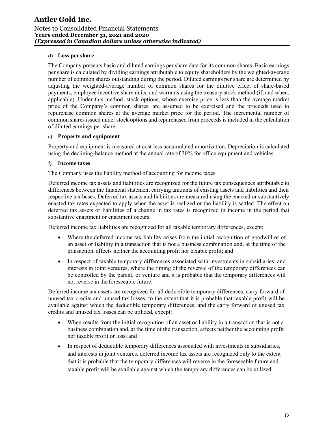#### **d) Loss per share**

The Company presents basic and diluted earnings per share data for its common shares. Basic earnings per share is calculated by dividing earnings attributable to equity shareholders by the weighted-average number of common shares outstanding during the period. Diluted earnings per share are determined by adjusting the weighted-average number of common shares for the dilutive effect of share-based payments, employee incentive share units, and warrants using the treasury stock method (if, and when, applicable). Under this method, stock options, whose exercise price is less than the average market price of the Company's common shares, are assumed to be exercised and the proceeds used to repurchase common shares at the average market price for the period. The incremental number of common shares issued under stock options and repurchased from proceeds is included in the calculation of diluted earnings per share.

# **e) Property and equipment**

Property and equipment is measured at cost less accumulated amortization. Depreciation is calculated using the declining-balance method at the annual rate of 30% for office equipment and vehicles.

# **f) Income taxes**

The Company uses the liability method of accounting for income taxes.

Deferred income tax assets and liabilities are recognized for the future tax consequences attributable to differences between the financial statement carrying amounts of existing assets and liabilities and their respective tax bases. Deferred tax assets and liabilities are measured using the enacted or substantively enacted tax rates expected to apply when the asset is realized or the liability is settled. The effect on deferred tax assets or liabilities of a change in tax rates is recognized in income in the period that substantive enactment or enactment occurs.

Deferred income tax liabilities are recognized for all taxable temporary differences, except:

- Where the deferred income tax liability arises from the initial recognition of goodwill or of an asset or liability in a transaction that is not a business combination and, at the time of the transaction, affects neither the accounting profit nor taxable profit; and
- In respect of taxable temporary differences associated with investments in subsidiaries, and interests in joint ventures, where the timing of the reversal of the temporary differences can be controlled by the parent, or venture and it is probable that the temporary differences will not reverse in the foreseeable future.

Deferred income tax assets are recognized for all deductible temporary differences, carry forward of unused tax credits and unused tax losses, to the extent that it is probable that taxable profit will be available against which the deductible temporary differences, and the carry forward of unused tax credits and unused tax losses can be utilized, except:

- When results from the initial recognition of an asset or liability in a transaction that is not a business combination and, at the time of the transaction, affects neither the accounting profit nor taxable profit or loss; and
- In respect of deductible temporary differences associated with investments in subsidiaries, and interests in joint ventures, deferred income tax assets are recognized only to the extent that it is probable that the temporary differences will reverse in the foreseeable future and taxable profit will be available against which the temporary differences can be utilized.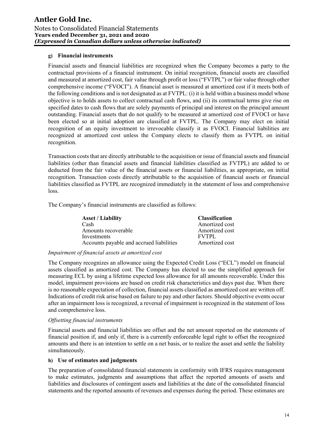#### **g) Financial instruments**

Financial assets and financial liabilities are recognized when the Company becomes a party to the contractual provisions of a financial instrument. On initial recognition, financial assets are classified and measured at amortized cost, fair value through profit or loss ("FVTPL") or fair value through other comprehensive income ("FVOCI"). A financial asset is measured at amortized cost if it meets both of the following conditions and is not designated as at FVTPL: (i) it is held within a business model whose objective is to holds assets to collect contractual cash flows, and (ii) its contractual terms give rise on specified dates to cash flows that are solely payments of principal and interest on the principal amount outstanding. Financial assets that do not qualify to be measured at amortized cost of FVOCI or have been elected so at initial adoption are classified at FVTPL. The Company may elect on initial recognition of an equity investment to irrevocable classify it as FVOCI. Financial liabilities are recognized at amortized cost unless the Company elects to classify them as FVTPL on initial recognition.

Transaction costs that are directly attributable to the acquisition or issue of financial assets and financial liabilities (other than financial assets and financial liabilities classified as FVTPL) are added to or deducted from the fair value of the financial assets or financial liabilities, as appropriate, on initial recognition. Transaction costs directly attributable to the acquisition of financial assets or financial liabilities classified as FVTPL are recognized immediately in the statement of loss and comprehensive loss.

The Company's financial instruments are classified as follows:

| <b>Asset / Liability</b>                 | <b>Classification</b> |
|------------------------------------------|-----------------------|
| Cash                                     | Amortized cost        |
| Amounts recoverable                      | Amortized cost        |
| Investments                              | <b>FVTPL</b>          |
| Accounts payable and accrued liabilities | Amortized cost        |

#### *Impairment of financial assets at amortized cost*

The Company recognizes an allowance using the Expected Credit Loss ("ECL") model on financial assets classified as amortized cost. The Company has elected to use the simplified approach for measuring ECL by using a lifetime expected loss allowance for all amounts recoverable. Under this model, impairment provisions are based on credit risk characteristics and days past due. When there is no reasonable expectation of collection, financial assets classified as amortized cost are written off. Indications of credit risk arise based on failure to pay and other factors. Should objective events occur after an impairment loss is recognized, a reversal of impairment is recognized in the statement of loss and comprehensive loss.

#### *Offsetting financial instruments*

Financial assets and financial liabilities are offset and the net amount reported on the statements of financial position if, and only if, there is a currently enforceable legal right to offset the recognized amounts and there is an intention to settle on a net basis, or to realize the asset and settle the liability simultaneously.

#### **h) Use of estimates and judgments**

The preparation of consolidated financial statements in conformity with IFRS requires management to make estimates, judgments and assumptions that affect the reported amounts of assets and liabilities and disclosures of contingent assets and liabilities at the date of the consolidated financial statements and the reported amounts of revenues and expenses during the period. These estimates are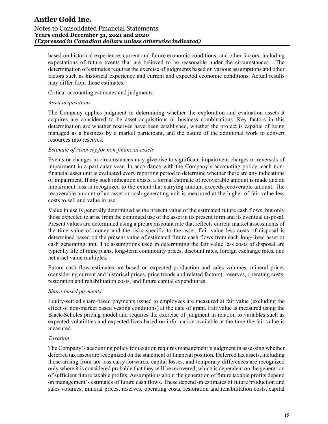based on historical experience, current and future economic conditions, and other factors, including expectations of future events that are believed to be reasonable under the circumstances. The determination of estimates requires the exercise of judgments based on various assumptions and other factors such as historical experience and current and expected economic conditions. Actual results may differ from those estimates.

Critical accounting estimates and judgments:

#### *Asset acquisitions*

The Company applies judgment in determining whether the exploration and evaluation assets it acquires are considered to be asset acquisitions or business combinations. Key factors in this determination are whether reserves have been established, whether the project is capable of being managed as a business by a market participant, and the nature of the additional work to convert resources into reserves.

#### *Estimate of recovery for non-financial assets*

Events or changes in circumstances may give rise to significant impairment charges or reversals of impairment in a particular year. In accordance with the Company's accounting policy, each nonfinancial asset unit is evaluated every reporting period to determine whether there are any indications of impairment. If any such indication exists, a formal estimate of recoverable amount is made and an impairment loss is recognized to the extent that carrying amount exceeds recoverable amount. The recoverable amount of an asset or cash generating unit is measured at the higher of fair value less costs to sell and value in use.

Value in use is generally determined as the present value of the estimated future cash flows, but only those expected to arise from the continued use of the asset in its present form and its eventual disposal. Present values are determined using a pretax discount rate that reflects current market assessments of the time value of money and the risks specific to the asset. Fair value less costs of disposal is determined based on the present value of estimated future cash flows from each long-lived asset or cash generating unit. The assumptions used in determining the fair value less costs of disposal are typically life of mine plans, long-term commodity prices, discount rates, foreign exchange rates, and net asset value multiples.

Future cash flow estimates are based on expected production and sales volumes, mineral prices (considering current and historical prices, price trends and related factors), reserves, operating costs, restoration and rehabilitation costs, and future capital expenditures.

#### *Share-based payments*

Equity-settled share-based payments issued to employees are measured at fair value (excluding the effect of non-market based vesting conditions) at the date of grant. Fair value is measured using the Black-Scholes pricing model and requires the exercise of judgment in relation to variables such as expected volatilities and expected lives based on information available at the time the fair value is measured.

#### *Taxation*

The Company's accounting policy for taxation requires management's judgment in assessing whether deferred tax assets are recognized on the statement of financial position. Deferred tax assets, including those arising from tax loss carry-forwards, capital losses, and temporary differences are recognized only where it is considered probable that they will be recovered, which is dependent on the generation of sufficient future taxable profits. Assumptions about the generation of future taxable profits depend on management's estimates of future cash flows. These depend on estimates of future production and sales volumes, mineral prices, reserves, operating costs, restoration and rehabilitation costs, capital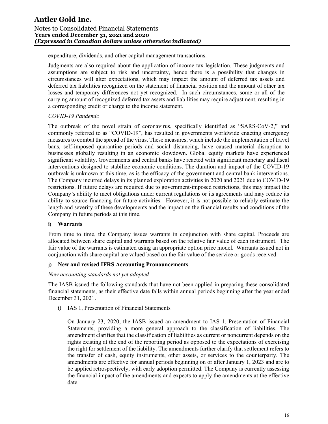expenditure, dividends, and other capital management transactions.

Judgments are also required about the application of income tax legislation. These judgments and assumptions are subject to risk and uncertainty, hence there is a possibility that changes in circumstances will alter expectations, which may impact the amount of deferred tax assets and deferred tax liabilities recognized on the statement of financial position and the amount of other tax losses and temporary differences not yet recognized. In such circumstances, some or all of the carrying amount of recognized deferred tax assets and liabilities may require adjustment, resulting in a corresponding credit or charge to the income statement.

# *COVID-19 Pandemic*

The outbreak of the novel strain of coronavirus, specifically identified as "SARS-CoV-2," and commonly referred to as "COVID-19", has resulted in governments worldwide enacting emergency measures to combat the spread of the virus. These measures, which include the implementation of travel bans, self-imposed quarantine periods and social distancing, have caused material disruption to businesses globally resulting in an economic slowdown. Global equity markets have experienced significant volatility. Governments and central banks have reacted with significant monetary and fiscal interventions designed to stabilize economic conditions. The duration and impact of the COVID-19 outbreak is unknown at this time, as is the efficacy of the government and central bank interventions. The Company incurred delays in its planned exploration activities in 2020 and 2021 due to COVID-19 restrictions. If future delays are required due to government-imposed restrictions, this may impact the Company's ability to meet obligations under current regulations or its agreements and may reduce its ability to source financing for future activities. However, it is not possible to reliably estimate the length and severity of these developments and the impact on the financial results and conditions of the Company in future periods at this time.

#### **i) Warrants**

From time to time, the Company issues warrants in conjunction with share capital. Proceeds are allocated between share capital and warrants based on the relative fair value of each instrument. The fair value of the warrants is estimated using an appropriate option price model. Warrants issued not in conjunction with share capital are valued based on the fair value of the service or goods received.

#### **j) New and revised IFRS Accounting Pronouncements**

#### *New accounting standards not yet adopted*

The IASB issued the following standards that have not been applied in preparing these consolidated financial statements, as their effective date falls within annual periods beginning after the year ended December 31, 2021.

i) IAS 1, Presentation of Financial Statements

On January 23, 2020, the IASB issued an amendment to IAS 1, Presentation of Financial Statements, providing a more general approach to the classification of liabilities. The amendment clarifies that the classification of liabilities as current or noncurrent depends on the rights existing at the end of the reporting period as opposed to the expectations of exercising the right for settlement of the liability. The amendments further clarify that settlement refers to the transfer of cash, equity instruments, other assets, or services to the counterparty. The amendments are effective for annual periods beginning on or after January 1, 2023 and are to be applied retrospectively, with early adoption permitted. The Company is currently assessing the financial impact of the amendments and expects to apply the amendments at the effective date.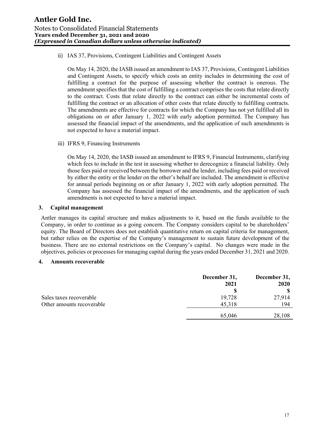ii) IAS 37, Provisions, Contingent Liabilities and Contingent Assets

On May 14, 2020, the IASB issued an amendment to IAS 37, Provisions, Contingent Liabilities and Contingent Assets, to specify which costs an entity includes in determining the cost of fulfilling a contract for the purpose of assessing whether the contract is onerous. The amendment specifies that the cost of fulfilling a contract comprises the costs that relate directly to the contract. Costs that relate directly to the contract can either be incremental costs of fulfilling the contract or an allocation of other costs that relate directly to fulfilling contracts. The amendments are effective for contracts for which the Company has not yet fulfilled all its obligations on or after January 1, 2022 with early adoption permitted. The Company has assessed the financial impact of the amendments, and the application of such amendments is not expected to have a material impact.

iii) IFRS 9, Financing Instruments

On May 14, 2020, the IASB issued an amendment to IFRS 9, Financial Instruments, clarifying which fees to include in the test in assessing whether to derecognize a financial liability. Only those fees paid or received between the borrower and the lender, including fees paid or received by either the entity or the lender on the other's behalf are included. The amendment is effective for annual periods beginning on or after January 1, 2022 with early adoption permitted. The Company has assessed the financial impact of the amendments, and the application of such amendments is not expected to have a material impact.

#### **3. Capital management**

Antler manages its capital structure and makes adjustments to it, based on the funds available to the Company, in order to continue as a going concern. The Company considers capital to be shareholders' equity. The Board of Directors does not establish quantitative return on capital criteria for management, but rather relies on the expertise of the Company's management to sustain future development of the business. There are no external restrictions on the Company's capital. No changes were made in the objectives, policies or processes for managing capital during the years ended December 31, 2021 and 2020.

#### **4. Amounts recoverable**

|                           | December 31,<br>2021 | December 31,<br>2020 |
|---------------------------|----------------------|----------------------|
|                           |                      |                      |
| Sales taxes recoverable   | 19,728               | 27,914               |
| Other amounts recoverable | 45,318               | 194                  |
|                           | 65,046               | 28,108               |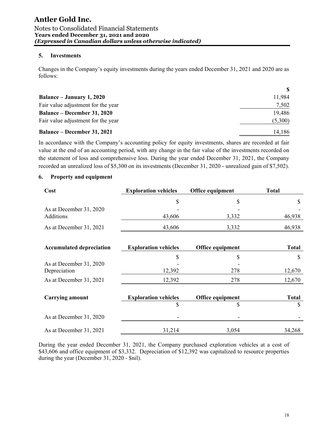#### **5. Investments**

Changes in the Company's equity investments during the years ended December 31, 2021 and 2020 are as follows:

|                                    | $\mathbf{s}$ |
|------------------------------------|--------------|
| Balance – January 1, 2020          | 11,984       |
| Fair value adjustment for the year | 7,502        |
| <b>Balance – December 31, 2020</b> | 19,486       |
| Fair value adjustment for the year | (5,300)      |
| <b>Balance – December 31, 2021</b> | 14,186       |

In accordance with the Company's accounting policy for equity investments, shares are recorded at fair value at the end of an accounting period, with any change in the fair value of the investments recorded on the statement of loss and comprehensive loss. During the year ended December 31, 2021, the Company recorded an unrealized loss of \$5,300 on its investments (December 31, 2020 - unrealized gain of \$7,502).

# **6. Property and equipment**

| Cost                            | <b>Exploration vehicles</b> | Office equipment | <b>Total</b> |
|---------------------------------|-----------------------------|------------------|--------------|
|                                 | \$                          | \$               | \$           |
| As at December 31, 2020         |                             |                  |              |
| Additions                       | 43,606                      | 3,332            | 46,938       |
| As at December 31, 2021         | 43,606                      | 3,332            | 46,938       |
|                                 |                             |                  |              |
| <b>Accumulated depreciation</b> | <b>Exploration vehicles</b> | Office equipment | <b>Total</b> |
|                                 | \$                          | \$               | \$           |
| As at December 31, 2020         |                             |                  |              |
| Depreciation                    | 12,392                      | 278              | 12,670       |
| As at December 31, 2021         | 12,392                      | 278              | 12,670       |
|                                 |                             |                  |              |
| <b>Carrying amount</b>          | <b>Exploration vehicles</b> | Office equipment | <b>Total</b> |
|                                 | \$                          | \$               | \$           |
| As at December 31, 2020         |                             |                  |              |
| As at December 31, 2021         | 31,214                      | 3,054            | 34,268       |

During the year ended December 31, 2021, the Company purchased exploration vehicles at a cost of \$43,606 and office equipment of \$3,332. Depreciation of \$12,392 was capitalized to resource properties during the year (December 31, 2020 - \$nil).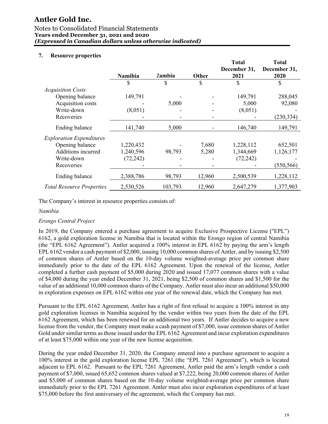# **Antler Gold Inc.**

#### Notes to Consolidated Financial Statements **Years ended December 31, 2021 and 2020** *(Expressed in Canadian dollars unless otherwise indicated)*

# **7. Resource properties**

|                                  |                |         |              | <b>Total</b> | <b>Total</b> |
|----------------------------------|----------------|---------|--------------|--------------|--------------|
|                                  |                |         |              | December 31, | December 31, |
|                                  | <b>Namibia</b> | Zambia  | <b>Other</b> | 2021         | 2020         |
|                                  | \$             | \$      | \$           | \$           | \$           |
| <b>Acquisition Costs</b>         |                |         |              |              |              |
| Opening balance                  | 149,791        |         |              | 149,791      | 288,045      |
| Acquisition costs                |                | 5,000   |              | 5,000        | 92,080       |
| Write-down                       | (8,051)        |         |              | (8,051)      |              |
| Recoveries                       |                |         |              |              | (230, 334)   |
| Ending balance                   | 141,740        | 5,000   |              | 146,740      | 149,791      |
| <b>Exploration Expenditures</b>  |                |         |              |              |              |
| Opening balance                  | 1,220,432      |         | 7,680        | 1,228,112    | 652,501      |
| Additions incurred               | 1,240,596      | 98,793  | 5,280        | 1,344,669    | 1,126,177    |
| Write-down                       | (72, 242)      |         |              | (72, 242)    |              |
| Recoveries                       |                |         |              |              | (550, 566)   |
| Ending balance                   | 2,388,786      | 98,793  | 12,960       | 2,500,539    | 1,228,112    |
| <b>Total Resource Properties</b> | 2,530,526      | 103,793 | 12,960       | 2,647,279    | 1,377,903    |

The Company's interest in resource properties consists of:

# *Namibia*

# *Erongo Central Project*

In 2019, the Company entered a purchase agreement to acquire Exclusive Prospective License ("EPL") 6162, a gold exploration license in Namibia that is located within the Erongo region of central Namibia (the "EPL 6162 Agreement"). Antler acquired a 100% interest in EPL 6162 by paying the arm's length EPL 6162 vendor a cash payment of \$2,000, issuing 10,000 common shares of Antler, and by issuing \$2,500 of common shares of Antler based on the 10-day volume weighted-average price per common share immediately prior to the date of the EPL 6162 Agreement. Upon the renewal of the license, Antler completed a further cash payment of \$5,000 during 2020 and issued 17,077 common shares with a value of \$4,000 during the year ended December 31, 2021, being \$2,500 of common shares and \$1,500 for the value of an additional 10,000 common shares of the Company. Antler must also incur an additional \$50,000 in exploration expenses on EPL 6162 within one year of the renewal date, which the Company has met.

Pursuant to the EPL 6162 Agreement, Antler has a right of first refusal to acquire a 100% interest in any gold exploration licenses in Namibia acquired by the vendor within two years from the date of the EPL 6162 Agreement, which has been renewed for an additional two years. If Antler decides to acquire a new license from the vendor, the Company must make a cash payment of \$7,000, issue common shares of Antler Gold under similar terms as those issued under the EPL 6162 Agreement and incur exploration expenditures of at least \$75,000 within one year of the new license acquisition.

During the year ended December 31, 2020, the Company entered into a purchase agreement to acquire a 100% interest in the gold exploration license EPL 7261 (the "EPL 7261 Agreement"), which is located adjacent to EPL 6162. Pursuant to the EPL 7261 Agreement, Antler paid the arm's length vendor a cash payment of \$7,000, issued 65,652 common shares valued at \$7,222, being 20,000 common shares of Antler and \$5,000 of common shares based on the 10-day volume weighted-average price per common share immediately prior to the EPL 7261 Agreement. Antler must also incur exploration expenditures of at least \$75,000 before the first anniversary of the agreement, which the Company has met.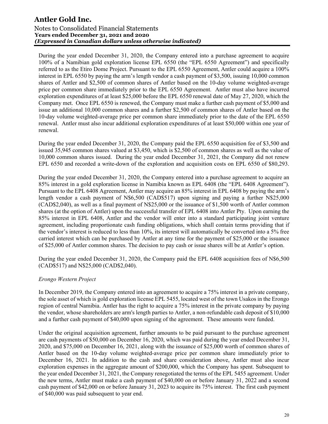# **Antler Gold Inc.** Notes to Consolidated Financial Statements **Years ended December 31, 2021 and 2020** *(Expressed in Canadian dollars unless otherwise indicated)*

During the year ended December 31, 2020, the Company entered into a purchase agreement to acquire 100% of a Namibian gold exploration license EPL 6550 (the "EPL 6550 Agreement") and specifically referred to as the Etiro Dome Project. Pursuant to the EPL 6550 Agreement, Antler could acquire a 100% interest in EPL 6550 by paying the arm's length vendor a cash payment of \$3,500, issuing 10,000 common shares of Antler and \$2,500 of common shares of Antler based on the 10-day volume weighted-average price per common share immediately prior to the EPL 6550 Agreement. Antler must also have incurred exploration expenditures of at least \$25,000 before the EPL 6550 renewal date of May 27, 2020, which the Company met. Once EPL 6550 is renewed, the Company must make a further cash payment of \$5,000 and issue an additional 10,000 common shares and a further \$2,500 of common shares of Antler based on the 10-day volume weighted-average price per common share immediately prior to the date of the EPL 6550 renewal. Antler must also incur additional exploration expenditures of at least \$50,000 within one year of renewal.

During the year ended December 31, 2020, the Company paid the EPL 6550 acquisition fee of \$3,500 and issued 35,945 common shares valued at \$3,450, which is \$2,500 of common shares as well as the value of 10,000 common shares issued. During the year ended December 31, 2021, the Company did not renew EPL 6550 and recorded a write-down of the exploration and acquisition costs on EPL 6550 of \$80,293.

During the year ended December 31, 2020, the Company entered into a purchase agreement to acquire an 85% interest in a gold exploration license in Namibia known as EPL 6408 (the "EPL 6408 Agreement"). Pursuant to the EPL 6408 Agreement, Antler may acquire an 85% interest in EPL 6408 by paying the arm's length vendor a cash payment of N\$6,500 (CAD\$517) upon signing and paying a further N\$25,000 (CAD\$2,040), as well as a final payment of N\$25,000 or the issuance of \$1,500 worth of Antler common shares (at the option of Antler) upon the successful transfer of EPL 6408 into Antler Pty. Upon earning the 85% interest in EPL 6408, Antler and the vendor will enter into a standard participating joint venture agreement, including proportionate cash funding obligations, which shall contain terms providing that if the vendor's interest is reduced to less than 10%, its interest will automatically be converted into a 5% free carried interest which can be purchased by Antler at any time for the payment of \$25,000 or the issuance of \$25,000 of Antler common shares. The decision to pay cash or issue shares will be at Antler's option.

During the year ended December 31, 2020, the Company paid the EPL 6408 acquisition fees of N\$6,500 (CAD\$517) and N\$25,000 (CAD\$2,040).

#### *Erongo Western Project*

In December 2019, the Company entered into an agreement to acquire a 75% interest in a private company, the sole asset of which is gold exploration license EPL 5455, located west of the town Usakos in the Erongo region of central Namibia. Antler has the right to acquire a 75% interest in the private company by paying the vendor, whose shareholders are arm's length parties to Antler, a non-refundable cash deposit of \$10,000 and a further cash payment of \$40,000 upon signing of the agreement. These amounts were funded.

Under the original acquisition agreement, further amounts to be paid pursuant to the purchase agreement are cash payments of \$50,000 on December 16, 2020, which was paid during the year ended December 31, 2020, and \$75,000 on December 16, 2021, along with the issuance of \$25,000 worth of common shares of Antler based on the 10-day volume weighted-average price per common share immediately prior to December 16, 2021. In addition to the cash and share consideration above, Antler must also incur exploration expenses in the aggregate amount of \$200,000, which the Company has spent. Subsequent to the year ended December 31, 2021, the Company renegotiated the terms of the EPL 5455 agreement. Under the new terms, Antler must make a cash payment of \$40,000 on or before January 31, 2022 and a second cash payment of \$42,000 on or before January 31, 2023 to acquire its 75% interest. The first cash payment of \$40,000 was paid subsequent to year end.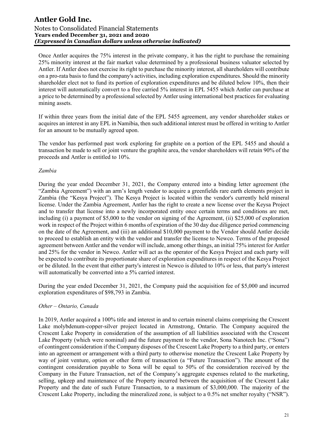Once Antler acquires the 75% interest in the private company, it has the right to purchase the remaining 25% minority interest at the fair market value determined by a professional business valuator selected by Antler. If Antler does not exercise its right to purchase the minority interest, all shareholders will contribute on a pro-rata basis to fund the company's activities, including exploration expenditures. Should the minority shareholder elect not to fund its portion of exploration expenditures and be diluted below 10%, then their interest will automatically convert to a free carried 5% interest in EPL 5455 which Antler can purchase at a price to be determined by a professional selected by Antler using international best practices for evaluating mining assets.

If within three years from the initial date of the EPL 5455 agreement, any vendor shareholder stakes or acquires an interest in any EPL in Namibia, then such additional interest must be offered in writing to Antler for an amount to be mutually agreed upon.

The vendor has performed past work exploring for graphite on a portion of the EPL 5455 and should a transaction be made to sell or joint venture the graphite area, the vendor shareholders will retain 90% of the proceeds and Antler is entitled to 10%.

#### *Zambia*

During the year ended December 31, 2021, the Company entered into a binding letter agreement (the "Zambia Agreement") with an arm's length vendor to acquire a greenfields rare earth elements project in Zambia (the "Kesya Project"). The Kesya Project is located within the vendor's currently held mineral license. Under the Zambia Agreement, Antler has the right to create a new license over the Keysa Project and to transfer that license into a newly incorporated entity once certain terms and conditions are met, including (i) a payment of \$5,000 to the vendor on signing of the Agreement, (ii) \$25,000 of exploration work in respect of the Project within 6 months of expiration of the 30 day due diligence period commencing on the date of the Agreement, and (iii) an additional \$10,000 payment to the Vendor should Antler decide to proceed to establish an entity with the vendor and transfer the license to Newco. Terms of the proposed agreement between Antler and the vendor will include, among other things, an initial 75% interest for Antler and 25% for the vendor in Newco. Antler will act as the operator of the Kesya Project and each party will be expected to contribute its proportionate share of exploration expenditures in respect of the Kesya Project or be diluted. In the event that either party's interest in Newco is diluted to 10% or less, that party's interest will automatically be converted into a 5% carried interest.

During the year ended December 31, 2021, the Company paid the acquisition fee of \$5,000 and incurred exploration expenditures of \$98,793 in Zambia.

#### *Other – Ontario, Canada*

In 2019, Antler acquired a 100% title and interest in and to certain mineral claims comprising the Crescent Lake molybdenum-copper-silver project located in Armstrong, Ontario. The Company acquired the Crescent Lake Property in consideration of the assumption of all liabilities associated with the Crescent Lake Property (which were nominal) and the future payment to the vendor, Sona Nanotech Inc. ("Sona") of contingent consideration if the Company disposes of the Crescent Lake Property to a third party, or enters into an agreement or arrangement with a third party to otherwise monetize the Crescent Lake Property by way of joint venture, option or other form of transaction (a "Future Transaction"). The amount of the contingent consideration payable to Sona will be equal to 50% of the consideration received by the Company in the Future Transaction, net of the Company's aggregate expenses related to the marketing, selling, upkeep and maintenance of the Property incurred between the acquisition of the Crescent Lake Property and the date of such Future Transaction, to a maximum of \$3,000,000. The majority of the Crescent Lake Property, including the mineralized zone, is subject to a 0.5% net smelter royalty ("NSR").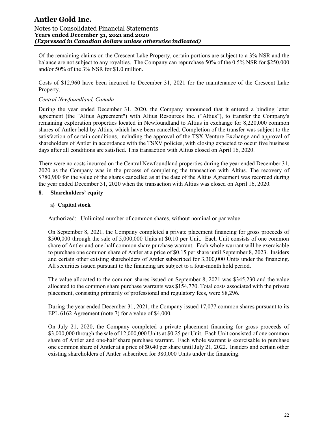# **Antler Gold Inc.** Notes to Consolidated Financial Statements **Years ended December 31, 2021 and 2020** *(Expressed in Canadian dollars unless otherwise indicated)*

Of the remaining claims on the Crescent Lake Property, certain portions are subject to a 3% NSR and the balance are not subject to any royalties. The Company can repurchase 50% of the 0.5% NSR for \$250,000 and/or 50% of the 3% NSR for \$1.0 million.

Costs of \$12,960 have been incurred to December 31, 2021 for the maintenance of the Crescent Lake Property.

# *Central Newfoundland, Canada*

During the year ended December 31, 2020, the Company announced that it entered a binding letter agreement (the "Altius Agreement") with Altius Resources Inc. ("Altius"), to transfer the Company's remaining exploration properties located in Newfoundland to Altius in exchange for 8,220,000 common shares of Antler held by Altius, which have been cancelled. Completion of the transfer was subject to the satisfaction of certain conditions, including the approval of the TSX Venture Exchange and approval of shareholders of Antler in accordance with the TSXV policies, with closing expected to occur five business days after all conditions are satisfied. This transaction with Altius closed on April 16, 2020.

There were no costs incurred on the Central Newfoundland properties during the year ended December 31, 2020 as the Company was in the process of completing the transaction with Altius. The recovery of \$780,900 for the value of the shares cancelled as at the date of the Altius Agreement was recorded during the year ended December 31, 2020 when the transaction with Altius was closed on April 16, 2020.

# **8. Shareholders' equity**

# **a) Capitalstock**

Authorized: Unlimited number of common shares, without nominal or par value

On September 8, 2021, the Company completed a private placement financing for gross proceeds of \$500,000 through the sale of 5,000,000 Units at \$0.10 per Unit. Each Unit consists of one common share of Antler and one-half common share purchase warrant. Each whole warrant will be exercisable to purchase one common share of Antler at a price of \$0.15 per share until September 8, 2023. Insiders and certain other existing shareholders of Antler subscribed for 3,300,000 Units under the financing. All securities issued pursuant to the financing are subject to a four-month hold period.

The value allocated to the common shares issued on September 8, 2021 was \$345,230 and the value allocated to the common share purchase warrants was \$154,770. Total costs associated with the private placement, consisting primarily of professional and regulatory fees, were \$8,296.

During the year ended December 31, 2021, the Company issued 17,077 common shares pursuant to its EPL 6162 Agreement (note 7) for a value of \$4,000.

On July 21, 2020, the Company completed a private placement financing for gross proceeds of \$3,000,000 through the sale of 12,000,000 Units at \$0.25 per Unit. Each Unit consisted of one common share of Antler and one-half share purchase warrant. Each whole warrant is exercisable to purchase one common share of Antler at a price of \$0.40 per share until July 21, 2022. Insiders and certain other existing shareholders of Antler subscribed for 380,000 Units under the financing.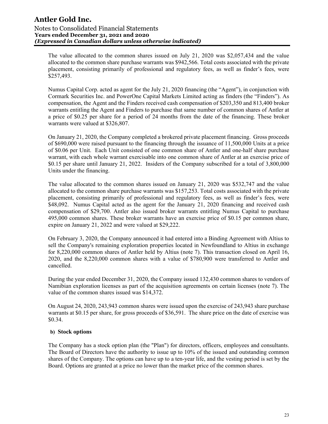The value allocated to the common shares issued on July 21, 2020 was \$2,057,434 and the value allocated to the common share purchase warrants was \$942,566. Total costs associated with the private placement, consisting primarily of professional and regulatory fees, as well as finder's fees, were \$257,493.

Numus Capital Corp. acted as agent for the July 21, 2020 financing (the "Agent"), in conjunction with Cormark Securities Inc. and PowerOne Capital Markets Limited acting as finders (the "Finders"). As compensation, the Agent and the Finders received cash compensation of \$203,350 and 813,400 broker warrants entitling the Agent and Finders to purchase that same number of common shares of Antler at a price of \$0.25 per share for a period of 24 months from the date of the financing. These broker warrants were valued at \$326,807.

On January 21, 2020, the Company completed a brokered private placement financing. Gross proceeds of \$690,000 were raised pursuant to the financing through the issuance of 11,500,000 Units at a price of \$0.06 per Unit. Each Unit consisted of one common share of Antler and one-half share purchase warrant, with each whole warrant exercisable into one common share of Antler at an exercise price of \$0.15 per share until January 21, 2022. Insiders of the Company subscribed for a total of 3,800,000 Units under the financing.

The value allocated to the common shares issued on January 21, 2020 was \$532,747 and the value allocated to the common share purchase warrants was \$157,253. Total costs associated with the private placement, consisting primarily of professional and regulatory fees, as well as finder's fees, were \$48,092. Numus Capital acted as the agent for the January 21, 2020 financing and received cash compensation of \$29,700. Antler also issued broker warrants entitling Numus Capital to purchase 495,000 common shares. These broker warrants have an exercise price of \$0.15 per common share, expire on January 21, 2022 and were valued at \$29,222.

On February 3, 2020, the Company announced it had entered into a Binding Agreement with Altius to sell the Company's remaining exploration properties located in Newfoundland to Altius in exchange for 8,220,000 common shares of Antler held by Altius (note 7). This transaction closed on April 16, 2020, and the 8,220,000 common shares with a value of \$780,900 were transferred to Antler and cancelled.

During the year ended December 31, 2020, the Company issued 132,430 common shares to vendors of Namibian exploration licenses as part of the acquisition agreements on certain licenses (note 7). The value of the common shares issued was \$14,372.

On August 24, 2020, 243,943 common shares were issued upon the exercise of 243,943 share purchase warrants at \$0.15 per share, for gross proceeds of \$36,591. The share price on the date of exercise was \$0.34.

#### **b) Stock options**

The Company has a stock option plan (the "Plan") for directors, officers, employees and consultants. The Board of Directors have the authority to issue up to 10% of the issued and outstanding common shares of the Company. The options can have up to a ten-year life, and the vesting period is set by the Board. Options are granted at a price no lower than the market price of the common shares.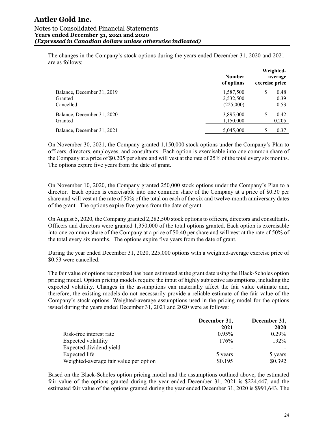The changes in the Company's stock options during the years ended December 31, 2020 and 2021 are as follows:

|                                                    | <b>Number</b><br>of options         | Weighted-<br>average<br>exercise price |
|----------------------------------------------------|-------------------------------------|----------------------------------------|
| Balance, December 31, 2019<br>Granted<br>Cancelled | 1,587,500<br>2,532,500<br>(225,000) | 0.48<br>S<br>0.39<br>0.53              |
| Balance, December 31, 2020<br>Granted              | 3,895,000<br>1,150,000              | 0.42<br>S<br>0.205                     |
| Balance, December 31, 2021                         | 5,045,000                           | 0.37                                   |

On November 30, 2021, the Company granted 1,150,000 stock options under the Company's Plan to officers, directors, employees, and consultants. Each option is exercisable into one common share of the Company at a price of \$0.205 per share and will vest at the rate of 25% of the total every six months. The options expire five years from the date of grant.

On November 10, 2020, the Company granted 250,000 stock options under the Company's Plan to a director. Each option is exercisable into one common share of the Company at a price of \$0.30 per share and will vest at the rate of 50% of the total on each of the six and twelve-month anniversary dates of the grant. The options expire five years from the date of grant.

On August 5, 2020, the Company granted 2,282,500 stock options to officers, directors and consultants. Officers and directors were granted 1,350,000 of the total options granted. Each option is exercisable into one common share of the Company at a price of \$0.40 per share and will vest at the rate of 50% of the total every six months. The options expire five years from the date of grant.

During the year ended December 31, 2020, 225,000 options with a weighted-average exercise price of \$0.53 were cancelled.

The fair value of options recognized has been estimated at the grant date using the Black-Scholes option pricing model. Option pricing models require the input of highly subjective assumptions, including the expected volatility. Changes in the assumptions can materially affect the fair value estimate and, therefore, the existing models do not necessarily provide a reliable estimate of the fair value of the Company's stock options. Weighted-average assumptions used in the pricing model for the options issued during the years ended December 31, 2021 and 2020 were as follows:

|                                        | December 31, | December 31, |  |
|----------------------------------------|--------------|--------------|--|
|                                        | 2021         | 2020         |  |
| Risk-free interest rate                | $0.95\%$     | $0.29\%$     |  |
| Expected volatility                    | 176%         | 192%         |  |
| Expected dividend yield                | -            |              |  |
| Expected life                          | 5 years      | 5 years      |  |
| Weighted-average fair value per option | \$0.195      | \$0.392      |  |

Based on the Black-Scholes option pricing model and the assumptions outlined above, the estimated fair value of the options granted during the year ended December 31, 2021 is \$224,447, and the estimated fair value of the options granted during the year ended December 31, 2020 is \$991,643. The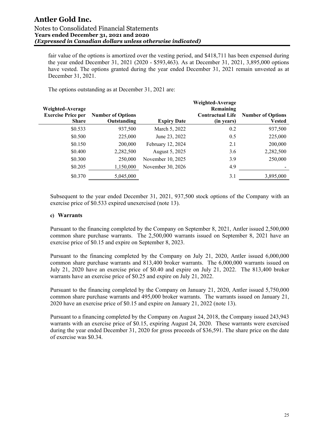fair value of the options is amortized over the vesting period, and \$418,711 has been expensed during the year ended December 31, 2021 (2020 - \$593,463). As at December 31, 2021, 3,895,000 options have vested. The options granted during the year ended December 31, 2021 remain unvested as at December 31, 2021.

The options outstanding as at December 31, 2021 are:

| Weighted-Average          |                          |                    | Weighted-Average<br>Remaining |                          |
|---------------------------|--------------------------|--------------------|-------------------------------|--------------------------|
| <b>Exercise Price per</b> | <b>Number of Options</b> |                    | <b>Contractual Life</b>       | <b>Number of Options</b> |
| <b>Share</b>              | Outstanding              | <b>Expiry Date</b> | (in years)                    | <b>Vested</b>            |
| \$0.533                   | 937,500                  | March 5, 2022      | 0.2                           | 937,500                  |
| \$0.500                   | 225,000                  | June 23, 2022      | 0.5                           | 225,000                  |
| \$0.150                   | 200,000                  | February 12, 2024  | 2.1                           | 200,000                  |
| \$0.400                   | 2,282,500                | August 5, 2025     | 3.6                           | 2,282,500                |
| \$0.300                   | 250,000                  | November 10, 2025  | 3.9                           | 250,000                  |
| \$0.205                   | 1,150,000                | November 30, 2026  | 4.9                           |                          |
| \$0.370                   | 5,045,000                |                    | 3.1                           | 3,895,000                |

Subsequent to the year ended December 31, 2021, 937,500 stock options of the Company with an exercise price of \$0.533 expired unexercised (note 13).

#### **c) Warrants**

Pursuant to the financing completed by the Company on September 8, 2021, Antler issued 2,500,000 common share purchase warrants. The 2,500,000 warrants issued on September 8, 2021 have an exercise price of \$0.15 and expire on September 8, 2023.

Pursuant to the financing completed by the Company on July 21, 2020, Antler issued 6,000,000 common share purchase warrants and 813,400 broker warrants. The 6,000,000 warrants issued on July 21, 2020 have an exercise price of \$0.40 and expire on July 21, 2022. The 813,400 broker warrants have an exercise price of \$0.25 and expire on July 21, 2022.

Pursuant to the financing completed by the Company on January 21, 2020, Antler issued 5,750,000 common share purchase warrants and 495,000 broker warrants. The warrants issued on January 21, 2020 have an exercise price of \$0.15 and expire on January 21, 2022 (note 13).

Pursuant to a financing completed by the Company on August 24, 2018, the Company issued 243,943 warrants with an exercise price of \$0.15, expiring August 24, 2020. These warrants were exercised during the year ended December 31, 2020 for gross proceeds of \$36,591. The share price on the date of exercise was \$0.34.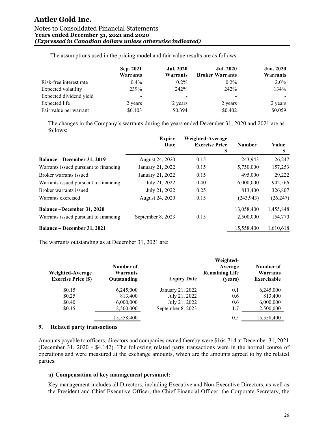The assumptions used in the pricing model and fair value results are as follows:

|                         | Sep. 2021<br><b>Warrants</b> | <b>Jul. 2020</b><br>Warrants | <b>Jul. 2020</b><br><b>Broker Warrants</b> | <b>Jan. 2020</b><br>Warrants |
|-------------------------|------------------------------|------------------------------|--------------------------------------------|------------------------------|
| Risk-free interest rate | $0.4\%$                      | $0.2\%$                      | $0.2\%$                                    | $2.0\%$                      |
| Expected volatility     | 239%                         | 242%                         | 242%                                       | 134%                         |
| Expected dividend yield |                              |                              |                                            |                              |
| Expected life           | 2 years                      | 2 years                      | 2 years                                    | 2 years                      |
| Fair value per warrant  | \$0.103                      | \$0.394                      | \$0.402                                    | \$0.059                      |

The changes in the Company's warrants during the years ended December 31, 2020 and 2021 are as follows:

|                                       | <b>Expiry</b><br>Date | Weighted-Average<br><b>Exercise Price</b><br>Y. | <b>Number</b> | Value<br>S |
|---------------------------------------|-----------------------|-------------------------------------------------|---------------|------------|
| <b>Balance – December 31, 2019</b>    | August 24, 2020       | 0.15                                            | 243,943       | 26,247     |
| Warrants issued pursuant to financing | January 21, 2022      | 0.15                                            | 5,750,000     | 157,253    |
| Broker warrants issued                | January 21, 2022      | 0.15                                            | 495,000       | 29,222     |
| Warrants issued pursuant to financing | July 21, 2022         | 0.40                                            | 6,000,000     | 942,566    |
| Broker warrants issued                | July 21, 2022         | 0.25                                            | 813,400       | 326,807    |
| Warrants exercised                    | August 24, 2020       | 0.15                                            | (243, 943)    | (26, 247)  |
| <b>Balance-December 31, 2020</b>      |                       |                                                 | 13,058,400    | 1,455,848  |
| Warrants issued pursuant to financing | September 8, 2023     | 0.15                                            | 2,500,000     | 154,770    |
| <b>Balance – December 31, 2021</b>    |                       |                                                 | 15,558,400    | 1,610,618  |

The warrants outstanding as at December 31, 2021 are:

| Weighted-Average<br><b>Exercise Price (\$)</b> | Number of<br>Warrants<br>Outstanding | <b>Expiry Date</b> | Weighted-<br>Average<br><b>Remaining Life</b><br>(years) | Number of<br>Warrants<br>Exercisable |
|------------------------------------------------|--------------------------------------|--------------------|----------------------------------------------------------|--------------------------------------|
| \$0.15                                         | 6,245,000                            | January 21, 2022   | 0.1                                                      | 6,245,000                            |
| \$0.25                                         | 813,400                              | July 21, 2022      | 0.6                                                      | 813,400                              |
| \$0.40                                         | 6,000,000                            | July 21, 2022      | 0.6                                                      | 6,000,000                            |
| \$0.15                                         | 2,500,000                            | September 8, 2023  | 1.7                                                      | 2,500,000                            |
|                                                | 15,558,400                           |                    | 0.5                                                      | 15,558,400                           |

#### **9. Related party transactions**

Amounts payable to officers, directors and companies owned thereby were \$164,714 at December 31, 2021 (December 31, 2020 - \$4,142). The following related party transactions were in the normal course of operations and were measured at the exchange amounts, which are the amounts agreed to by the related parties.

#### **a) Compensation of key management personnel:**

Key management includes all Directors, including Executive and Non-Executive Directors, as well as the President and Chief Executive Officer, the Chief Financial Officer, the Corporate Secretary, the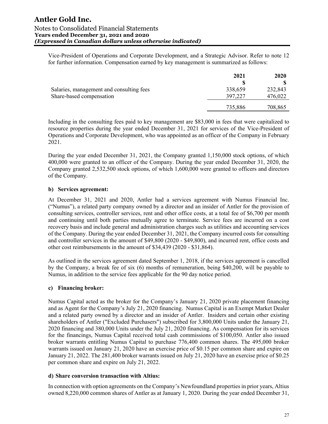Vice-President of Operations and Corporate Development, and a Strategic Advisor. Refer to note 12 for further information. Compensation earned by key management is summarized as follows:

|                                                                      | 2021               | 2020               |
|----------------------------------------------------------------------|--------------------|--------------------|
| Salaries, management and consulting fees<br>Share-based compensation | 338,659<br>397,227 | 232,843<br>476,022 |
|                                                                      | 735,886            | 708,865            |

Including in the consulting fees paid to key management are \$83,000 in fees that were capitalized to resource properties during the year ended December 31, 2021 for services of the Vice-President of Operations and Corporate Development, who was appointed as an officer of the Company in February 2021.

During the year ended December 31, 2021, the Company granted 1,150,000 stock options, of which 400,000 were granted to an officer of the Company. During the year ended December 31, 2020, the Company granted 2,532,500 stock options, of which 1,600,000 were granted to officers and directors of the Company.

#### **b) Services agreement:**

At December 31, 2021 and 2020, Antler had a services agreement with Numus Financial Inc. ("Numus"), a related party company owned by a director and an insider of Antler for the provision of consulting services, controller services, rent and other office costs, at a total fee of \$6,700 per month and continuing until both parties mutually agree to terminate. Service fees are incurred on a cost recovery basis and include general and administration charges such as utilities and accounting services of the Company. During the year ended December 31, 2021, the Company incurred costs for consulting and controller services in the amount of \$49,800 (2020 - \$49,800), and incurred rent, office costs and other cost reimbursements in the amount of \$34,439 (2020 - \$31,864).

As outlined in the services agreement dated September 1, 2018, if the services agreement is cancelled by the Company, a break fee of six (6) months of remuneration, being \$40,200, will be payable to Numus, in addition to the service fees applicable for the 90 day notice period.

#### **c) Financing broker:**

Numus Capital acted as the broker for the Company's January 21, 2020 private placement financing and as Agent for the Company's July 21, 2020 financing. Numus Capital is an Exempt Market Dealer and a related party owned by a director and an insider of Antler. Insiders and certain other existing shareholders of Antler ("Excluded Purchasers") subscribed for 3,800,000 Units under the January 21, 2020 financing and 380,000 Units under the July 21, 2020 financing. As compensation for its services for the financings, Numus Capital received total cash commissions of \$100,050. Antler also issued broker warrants entitling Numus Capital to purchase 776,400 common shares. The 495,000 broker warrants issued on January 21, 2020 have an exercise price of \$0.15 per common share and expire on January 21, 2022. The 281,400 broker warrants issued on July 21, 2020 have an exercise price of \$0.25 per common share and expire on July 21, 2022.

#### **d) Share conversion transaction with Altius:**

In connection with option agreements on the Company's Newfoundland properties in prior years, Altius owned 8,220,000 common shares of Antler as at January 1, 2020. During the year ended December 31,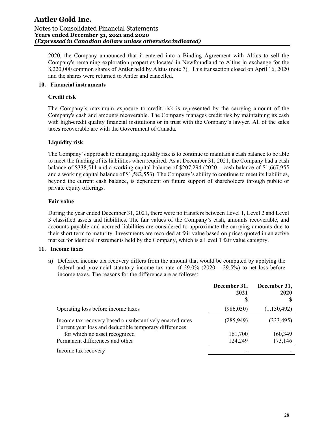2020, the Company announced that it entered into a Binding Agreement with Altius to sell the Company's remaining exploration properties located in Newfoundland to Altius in exchange for the 8,220,000 common shares of Antler held by Altius (note 7). This transaction closed on April 16, 2020 and the shares were returned to Antler and cancelled.

#### **10. Financial instruments**

#### **Credit risk**

The Company's maximum exposure to credit risk is represented by the carrying amount of the Company's cash and amounts recoverable. The Company manages credit risk by maintaining its cash with high-credit quality financial institutions or in trust with the Company's lawyer. All of the sales taxes recoverable are with the Government of Canada.

#### **Liquidity risk**

The Company's approach to managing liquidity risk is to continue to maintain a cash balance to be able to meet the funding of its liabilities when required. As at December 31, 2021, the Company had a cash balance of \$338,511 and a working capital balance of \$207,294 (2020 – cash balance of \$1,667,955 and a working capital balance of \$1,582,553). The Company's ability to continue to meet its liabilities, beyond the current cash balance, is dependent on future support of shareholders through public or private equity offerings.

#### **Fair value**

During the year ended December 31, 2021, there were no transfers between Level 1, Level 2 and Level 3 classified assets and liabilities. The fair values of the Company's cash, amounts recoverable, and accounts payable and accrued liabilities are considered to approximate the carrying amounts due to their short term to maturity. Investments are recorded at fair value based on prices quoted in an active market for identical instruments held by the Company, which is a Level 1 fair value category.

#### **11. Income taxes**

**a)** Deferred income tax recovery differs from the amount that would be computed by applying the federal and provincial statutory income tax rate of  $29.0\%$  ( $2020 - 29.5\%$ ) to net loss before income taxes. The reasons for the difference are as follows:

|                                                                                                                    | December 31,<br>2021 | December 31,<br>2020 |
|--------------------------------------------------------------------------------------------------------------------|----------------------|----------------------|
| Operating loss before income taxes                                                                                 | (986, 030)           | (1, 130, 492)        |
| Income tax recovery based on substantively enacted rates<br>Current year loss and deductible temporary differences | (285,949)            | (333, 495)           |
| for which no asset recognized                                                                                      | 161,700              | 160,349              |
| Permanent differences and other                                                                                    | 124,249              | 173,146              |
| Income tax recovery                                                                                                |                      |                      |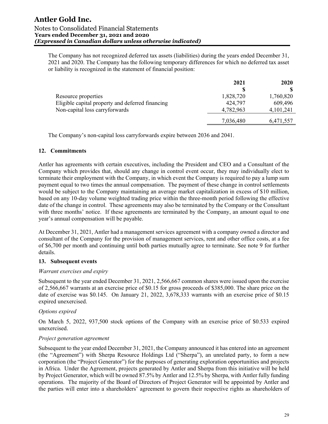The Company has not recognized deferred tax assets (liabilities) during the years ended December 31, 2021 and 2020. The Company has the following temporary differences for which no deferred tax asset or liability is recognized in the statement of financial position:

|                                                  | 2021      | 2020      |
|--------------------------------------------------|-----------|-----------|
|                                                  |           |           |
| Resource properties                              | 1,828,720 | 1,760,820 |
| Eligible capital property and deferred financing | 424,797   | 609,496   |
| Non-capital loss carryforwards                   | 4,782,963 | 4,101,241 |
|                                                  | 7,036,480 | 6,471,557 |

The Company's non-capital loss carryforwards expire between 2036 and 2041.

# **12. Commitments**

Antler has agreements with certain executives, including the President and CEO and a Consultant of the Company which provides that, should any change in control event occur, they may individually elect to terminate their employment with the Company, in which event the Company is required to pay a lump sum payment equal to two times the annual compensation. The payment of these change in control settlements would be subject to the Company maintaining an average market capitalization in excess of \$10 million, based on any 10-day volume weighted trading price within the three-month period following the effective date of the change in control. These agreements may also be terminated by the Company or the Consultant with three months' notice. If these agreements are terminated by the Company, an amount equal to one year's annual compensation will be payable.

At December 31, 2021, Antler had a management services agreement with a company owned a director and consultant of the Company for the provision of management services, rent and other office costs, at a fee of \$6,700 per month and continuing until both parties mutually agree to terminate. See note 9 for further details.

#### **13. Subsequent events**

#### *Warrant exercises and expiry*

Subsequent to the year ended December 31, 2021, 2,566,667 common shares were issued upon the exercise of 2,566,667 warrants at an exercise price of \$0.15 for gross proceeds of \$385,000. The share price on the date of exercise was \$0.145. On January 21, 2022, 3,678,333 warrants with an exercise price of \$0.15 expired unexercised.

# *Options expired*

On March 5, 2022, 937,500 stock options of the Company with an exercise price of \$0.533 expired unexercised.

#### *Project generation agreement*

Subsequent to the year ended December 31, 2021, the Company announced it has entered into an agreement (the "Agreement") with Sherpa Resource Holdings Ltd ("Sherpa"), an unrelated party, to form a new corporation (the "Project Generator") for the purposes of generating exploration opportunities and projects in Africa. Under the Agreement, projects generated by Antler and Sherpa from this initiative will be held by Project Generator, which will be owned 87.5% by Antler and 12.5% by Sherpa, with Antler fully funding operations. The majority of the Board of Directors of Project Generator will be appointed by Antler and the parties will enter into a shareholders' agreement to govern their respective rights as shareholders of